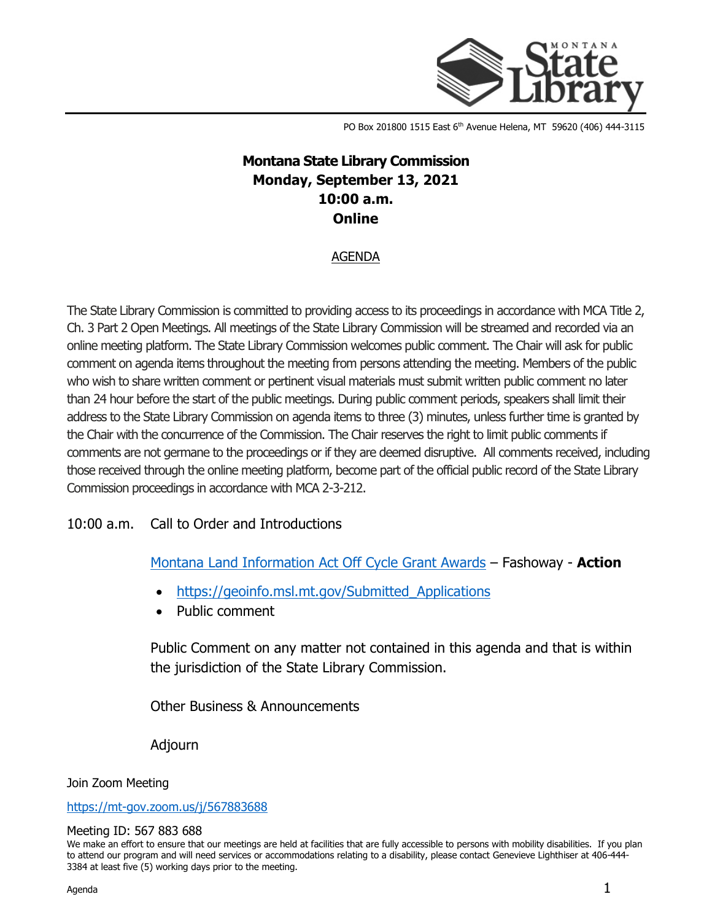

PO Box 201800 1515 East 6<sup>th</sup> Avenue Helena, MT 59620 (406) 444-3115

## **Montana State Library Commission Monday, September 13, 2021 10:00 a.m. Online**

## AGENDA

The State Library Commission is committed to providing access to its proceedings in accordance with MCA Title 2, Ch. 3 Part 2 Open Meetings. All meetings of the State Library Commission will be streamed and recorded via an online meeting platform. The State Library Commission welcomes public comment. The Chair will ask for public comment on agenda items throughout the meeting from persons attending the meeting. Members of the public who wish to share written comment or pertinent visual materials must submit written public comment no later than 24 hour before the start of the public meetings. During public comment periods, speakers shall limit their address to the State Library Commission on agenda items to three (3) minutes, unless further time is granted by the Chair with the concurrence of the Commission. The Chair reserves the right to limit public comments if comments are not germane to the proceedings or if they are deemed disruptive. All comments received, including those received through the online meeting platform, become part of the official public record of the State Library Commission proceedings in accordance with MCA 2-3-212.

## 10:00 a.m. Call to Order and Introductions

[Montana Land Information Act Off Cycle Grant Awards](https://ftpaspen.msl.mt.gov/EventResources/20210907152847_20257.pdf) – Fashoway - **Action**

- https://geoinfo.msl.mt.gov/Submitted Applications
- Public comment

Public Comment on any matter not contained in this agenda and that is within the jurisdiction of the State Library Commission.

Other Business & Announcements

Adjourn

Join Zoom Meeting

<https://mt-gov.zoom.us/j/567883688>

## Meeting ID: 567 883 688

We make an effort to ensure that our meetings are held at facilities that are fully accessible to persons with mobility disabilities. If you plan to attend our program and will need services or accommodations relating to a disability, please contact Genevieve Lighthiser at 406-444- 3384 at least five (5) working days prior to the meeting.